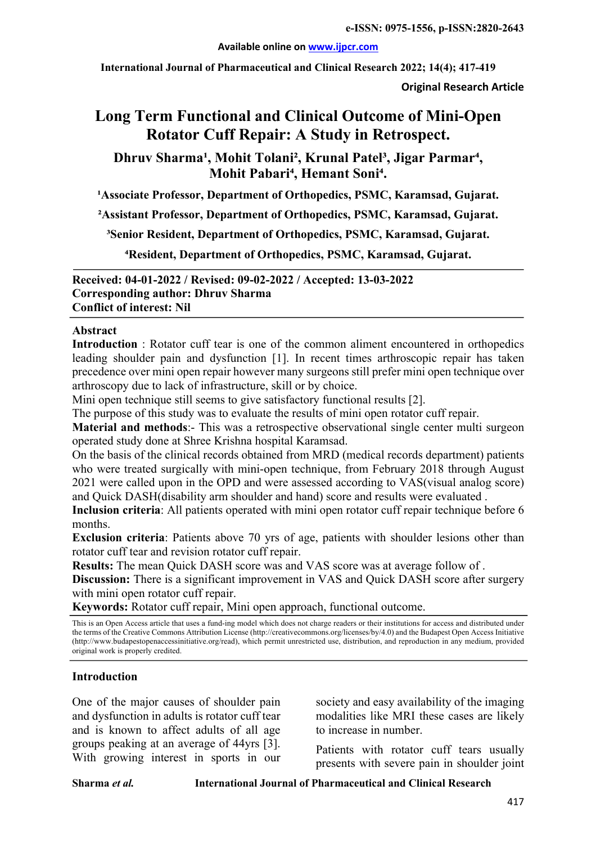#### **Available online on www.ijpcr.com**

**International Journal of Pharmaceutical and Clinical Research 2022; 14(4); 417-419**

**Original Research Article**

# **Long Term Functional and Clinical Outcome of Mini-Open Rotator Cuff Repair: A Study in Retrospect.**

Dhruv Sharma<sup>1</sup>, Mohit Tolani<sup>2</sup>, Krunal Patel<sup>3</sup>, Jigar Parmar<sup>4</sup>, Mohit Pabari<sup>4</sup>, Hemant Soni<sup>4</sup>.

<sup>1</sup>Associate Professor, Department of Orthopedics, PSMC, Karamsad, Gujarat.

**²Assistant Professor, Department of Orthopedics, PSMC, Karamsad, Gujarat.**

**³Senior Resident, Department of Orthopedics, PSMC, Karamsad, Gujarat.**

**⁴Resident, Department of Orthopedics, PSMC, Karamsad, Gujarat.**

**Received: 04-01-2022 / Revised: 09-02-2022 / Accepted: 13-03-2022 Corresponding author: Dhruv Sharma Conflict of interest: Nil**

#### **Abstract**

**Introduction** : Rotator cuff tear is one of the common aliment encountered in orthopedics leading shoulder pain and dysfunction [1]. In recent times arthroscopic repair has taken precedence over mini open repair however many surgeons still prefer mini open technique over arthroscopy due to lack of infrastructure, skill or by choice.

Mini open technique still seems to give satisfactory functional results [2].

The purpose of this study was to evaluate the results of mini open rotator cuff repair.

**Material and methods:** This was a retrospective observational single center multi surgeon operated study done at Shree Krishna hospital Karamsad.

On the basis of the clinical records obtained from MRD (medical records department) patients who were treated surgically with mini-open technique, from February 2018 through August 2021 were called upon in the OPD and were assessed according to VAS(visual analog score) and Quick DASH(disability arm shoulder and hand) score and results were evaluated .

**Inclusion criteria**: All patients operated with mini open rotator cuff repair technique before 6 months.

**Exclusion criteria**: Patients above 70 yrs of age, patients with shoulder lesions other than rotator cuff tear and revision rotator cuff repair.

**Results:** The mean Quick DASH score was and VAS score was at average follow of .

**Discussion:** There is a significant improvement in VAS and Quick DASH score after surgery with mini open rotator cuff repair.

**Keywords:** Rotator cuff repair, Mini open approach, functional outcome.

This is an Open Access article that uses a fund-ing model which does not charge readers or their institutions for access and distributed under the terms of the Creative Commons Attribution License (http://creativecommons.org/licenses/by/4.0) and the Budapest Open Access Initiative (http://www.budapestopenaccessinitiative.org/read), which permit unrestricted use, distribution, and reproduction in any medium, provided original work is properly credited.

# **Introduction**

One of the major causes of shoulder pain and dysfunction in adults is rotator cuff tear and is known to affect adults of all age groups peaking at an average of 44yrs [3]. With growing interest in sports in our

society and easy availability of the imaging modalities like MRI these cases are likely to increase in number.

Patients with rotator cuff tears usually presents with severe pain in shoulder joint

**Sharma** *et al.* **International Journal of Pharmaceutical and Clinical Research**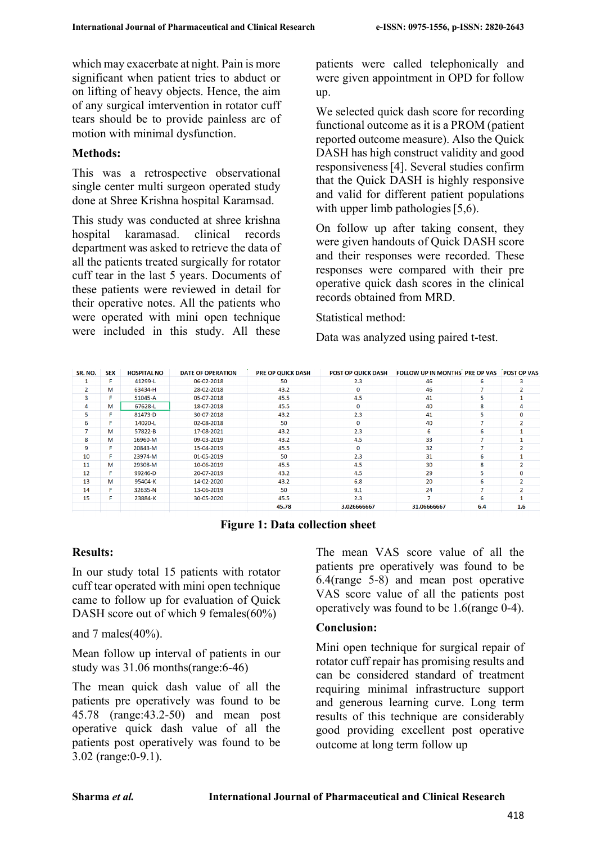which may exacerbate at night. Pain is more significant when patient tries to abduct or on lifting of heavy objects. Hence, the aim of any surgical imtervention in rotator cuff tears should be to provide painless arc of motion with minimal dysfunction.

### **Methods:**

This was a retrospective observational single center multi surgeon operated study done at Shree Krishna hospital Karamsad.

This study was conducted at shree krishna hospital karamasad. clinical records department was asked to retrieve the data of all the patients treated surgically for rotator cuff tear in the last 5 years. Documents of these patients were reviewed in detail for their operative notes. All the patients who were operated with mini open technique were included in this study. All these

patients were called telephonically and were given appointment in OPD for follow up.

We selected quick dash score for recording functional outcome as it is a PROM (patient reported outcome measure). Also the Quick DASH has high construct validity and good responsiveness[4]. Several studies confirm that the Quick DASH is highly responsive and valid for different patient populations with upper limb pathologies [5,6).

On follow up after taking consent, they were given handouts of Quick DASH score and their responses were recorded. These responses were compared with their pre operative quick dash scores in the clinical records obtained from MRD.

# Statistical method:

Data was analyzed using paired t-test.

| SR. NO.        | <b>SEX</b> | <b>HOSPITAL NO</b> | <b>DATE OF OPERATION</b> | <b>PRE OP QUICK DASH</b> | <b>POST OP QUICK DASH</b> | FOLLOW UP IN MONTHS PRE OP VAS |     | <b>POST OP VAS</b> |
|----------------|------------|--------------------|--------------------------|--------------------------|---------------------------|--------------------------------|-----|--------------------|
|                | Е          | 41299-L            | 06-02-2018               | 50                       | 2.3                       | 46                             | 6   |                    |
| $\overline{2}$ | М          | 63434-H            | 28-02-2018               | 43.2                     | $\Omega$                  | 46                             | 7   |                    |
| 3              | Е          | 51045-A            | 05-07-2018               | 45.5                     | 4.5                       | 41                             | 5   |                    |
| 4              | м          | 67628-L            | 18-07-2018               | 45.5                     | $\mathbf{0}$              | 40                             | 8   |                    |
| 5              | F          | 81473-D            | 30-07-2018               | 43.2                     | 2.3                       | 41                             | 5   | 0                  |
| 6              | F          | 14020-L            | 02-08-2018               | 50                       | $\mathbf{0}$              | 40                             |     |                    |
| 7              | м          | 57822-B            | 17-08-2021               | 43.2                     | 2.3                       | 6                              | 6   |                    |
| 8              | М          | 16960-M            | 09-03-2019               | 43.2                     | 4.5                       | 33                             |     |                    |
| 9              | F.         | 20843-M            | 15-04-2019               | 45.5                     | $\Omega$                  | 32                             | 7   |                    |
| 10             | F          | 23974-M            | 01-05-2019               | 50                       | 2.3                       | 31                             | 6   |                    |
| 11             | м          | 29308-M            | 10-06-2019               | 45.5                     | 4.5                       | 30                             | 8   |                    |
| 12             | F          | 99246-D            | 20-07-2019               | 43.2                     | 4.5                       | 29                             | 5   | 0                  |
| 13             | м          | 95404-K            | 14-02-2020               | 43.2                     | 6.8                       | 20                             | 6   |                    |
| 14             | F          | 32635-N            | 13-06-2019               | 50                       | 9.1                       | 24                             | 7   |                    |
| 15             | F          | 23884-K            | 30-05-2020               | 45.5                     | 2.3                       |                                | 6   |                    |
|                |            |                    |                          | 45.78                    | 3.026666667               | 31.06666667                    | 6.4 | 1.6                |

**Figure 1: Data collection sheet**

# **Results:**

In our study total 15 patients with rotator cuff tear operated with mini open technique came to follow up for evaluation of Quick DASH score out of which 9 females(60%)

and 7 males(40%).

Mean follow up interval of patients in our study was 31.06 months(range:6-46)

The mean quick dash value of all the patients pre operatively was found to be 45.78 (range:43.2-50) and mean post operative quick dash value of all the patients post operatively was found to be 3.02 (range:0-9.1).

The mean VAS score value of all the patients pre operatively was found to be 6.4(range 5-8) and mean post operative VAS score value of all the patients post operatively was found to be 1.6(range 0-4).

# **Conclusion:**

Mini open technique for surgical repair of rotator cuff repair has promising results and can be considered standard of treatment requiring minimal infrastructure support and generous learning curve. Long term results of this technique are considerably good providing excellent post operative outcome at long term follow up